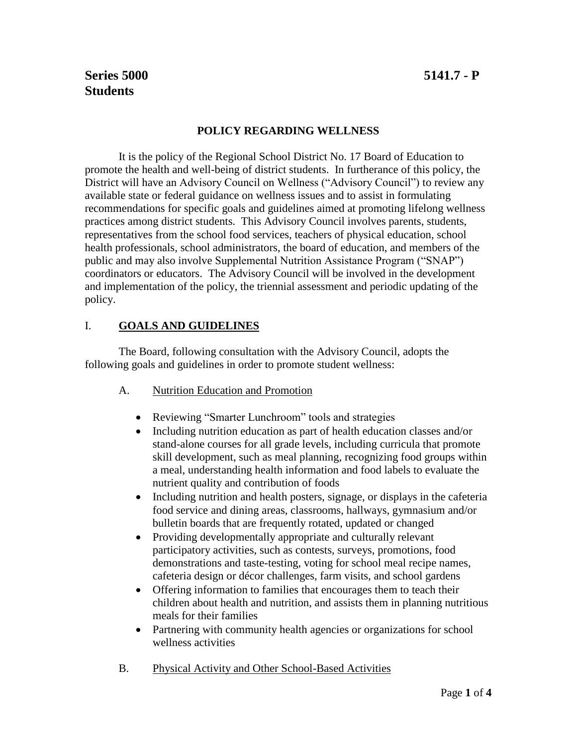# **Series 5000 5141.7 - P Students**

### **POLICY REGARDING WELLNESS**

It is the policy of the Regional School District No. 17 Board of Education to promote the health and well-being of district students. In furtherance of this policy, the District will have an Advisory Council on Wellness ("Advisory Council") to review any available state or federal guidance on wellness issues and to assist in formulating recommendations for specific goals and guidelines aimed at promoting lifelong wellness practices among district students. This Advisory Council involves parents, students, representatives from the school food services, teachers of physical education, school health professionals, school administrators, the board of education, and members of the public and may also involve Supplemental Nutrition Assistance Program ("SNAP") coordinators or educators. The Advisory Council will be involved in the development and implementation of the policy, the triennial assessment and periodic updating of the policy.

### I. **GOALS AND GUIDELINES**

The Board, following consultation with the Advisory Council, adopts the following goals and guidelines in order to promote student wellness:

- A. Nutrition Education and Promotion
	- Reviewing "Smarter Lunchroom" tools and strategies
	- Including nutrition education as part of health education classes and/or stand-alone courses for all grade levels, including curricula that promote skill development, such as meal planning, recognizing food groups within a meal, understanding health information and food labels to evaluate the nutrient quality and contribution of foods
	- Including nutrition and health posters, signage, or displays in the cafeteria food service and dining areas, classrooms, hallways, gymnasium and/or bulletin boards that are frequently rotated, updated or changed
	- Providing developmentally appropriate and culturally relevant participatory activities, such as contests, surveys, promotions, food demonstrations and taste-testing, voting for school meal recipe names, cafeteria design or décor challenges, farm visits, and school gardens
	- Offering information to families that encourages them to teach their children about health and nutrition, and assists them in planning nutritious meals for their families
	- Partnering with community health agencies or organizations for school wellness activities
- B. Physical Activity and Other School-Based Activities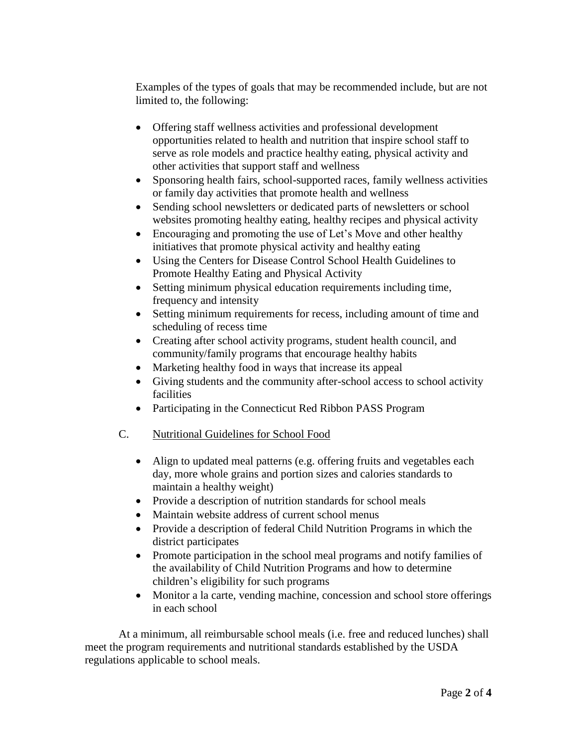Examples of the types of goals that may be recommended include, but are not limited to, the following:

- Offering staff wellness activities and professional development opportunities related to health and nutrition that inspire school staff to serve as role models and practice healthy eating, physical activity and other activities that support staff and wellness
- Sponsoring health fairs, school-supported races, family wellness activities or family day activities that promote health and wellness
- Sending school newsletters or dedicated parts of newsletters or school websites promoting healthy eating, healthy recipes and physical activity
- Encouraging and promoting the use of Let's Move and other healthy initiatives that promote physical activity and healthy eating
- Using the Centers for Disease Control School Health Guidelines to Promote Healthy Eating and Physical Activity
- Setting minimum physical education requirements including time, frequency and intensity
- Setting minimum requirements for recess, including amount of time and scheduling of recess time
- Creating after school activity programs, student health council, and community/family programs that encourage healthy habits
- Marketing healthy food in ways that increase its appeal
- Giving students and the community after-school access to school activity facilities
- Participating in the Connecticut Red Ribbon PASS Program
- C. Nutritional Guidelines for School Food
	- Align to updated meal patterns (e.g. offering fruits and vegetables each day, more whole grains and portion sizes and calories standards to maintain a healthy weight)
	- Provide a description of nutrition standards for school meals
	- Maintain website address of current school menus
	- Provide a description of federal Child Nutrition Programs in which the district participates
	- Promote participation in the school meal programs and notify families of the availability of Child Nutrition Programs and how to determine children's eligibility for such programs
	- Monitor a la carte, vending machine, concession and school store offerings in each school

At a minimum, all reimbursable school meals (i.e. free and reduced lunches) shall meet the program requirements and nutritional standards established by the USDA regulations applicable to school meals.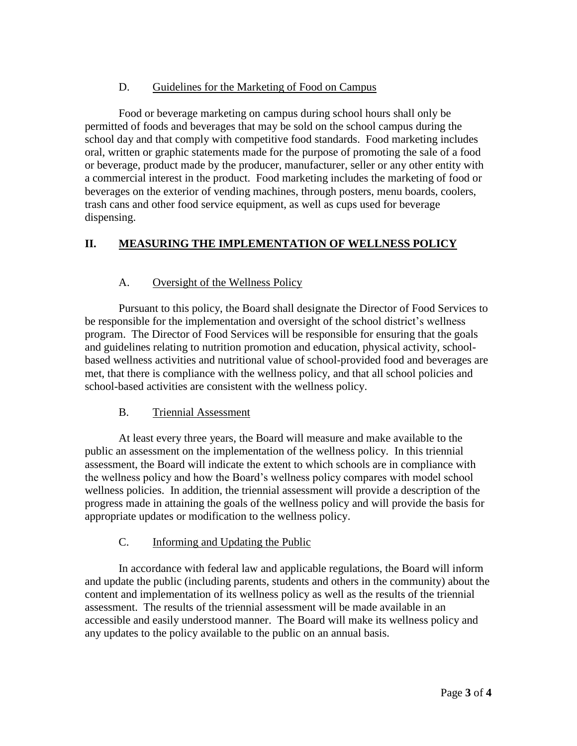### D. Guidelines for the Marketing of Food on Campus

Food or beverage marketing on campus during school hours shall only be permitted of foods and beverages that may be sold on the school campus during the school day and that comply with competitive food standards. Food marketing includes oral, written or graphic statements made for the purpose of promoting the sale of a food or beverage, product made by the producer, manufacturer, seller or any other entity with a commercial interest in the product. Food marketing includes the marketing of food or beverages on the exterior of vending machines, through posters, menu boards, coolers, trash cans and other food service equipment, as well as cups used for beverage dispensing.

## **II. MEASURING THE IMPLEMENTATION OF WELLNESS POLICY**

### A. Oversight of the Wellness Policy

Pursuant to this policy, the Board shall designate the Director of Food Services to be responsible for the implementation and oversight of the school district's wellness program. The Director of Food Services will be responsible for ensuring that the goals and guidelines relating to nutrition promotion and education, physical activity, schoolbased wellness activities and nutritional value of school-provided food and beverages are met, that there is compliance with the wellness policy, and that all school policies and school-based activities are consistent with the wellness policy.

### B. Triennial Assessment

At least every three years, the Board will measure and make available to the public an assessment on the implementation of the wellness policy. In this triennial assessment, the Board will indicate the extent to which schools are in compliance with the wellness policy and how the Board's wellness policy compares with model school wellness policies. In addition, the triennial assessment will provide a description of the progress made in attaining the goals of the wellness policy and will provide the basis for appropriate updates or modification to the wellness policy.

### C. Informing and Updating the Public

In accordance with federal law and applicable regulations, the Board will inform and update the public (including parents, students and others in the community) about the content and implementation of its wellness policy as well as the results of the triennial assessment. The results of the triennial assessment will be made available in an accessible and easily understood manner. The Board will make its wellness policy and any updates to the policy available to the public on an annual basis.